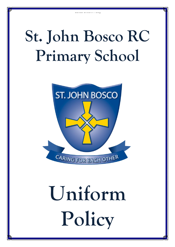## **St. John Bosco RC Primary School**

School Uniform Policy



# **Uniform Policy**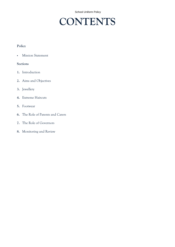School Uniform Policy

### **CONTENTS**

#### **Policy**

**Mission Statement** 

#### **Sections**

- **1.** Introduction
- **2.** Aims and Objectives
- **3.** Jewellery
- **4.** Extreme Haircuts
- **5.** Footwear
- **6.** The Role of Parents and Carers
- **7.** The Role of Governors
- **8.** Monitoring and Review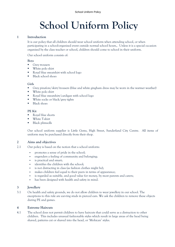## **School Uniform Policy**

#### **1 Introduction**

It is our policy that all children should wear school uniform when attending school, or when participating in a school-organised event outside normal school hours,. Unless it is a special occasion organised by the class teacher or school, children should come to school in their uniform.

Our school uniform consists of:

#### **Boys**

- Grey trousers
- White polo shirt
- Royal blue sweatshirt with school logo
- Black school shoes

#### **Girls**

- Grey pinafore/skirt/trousers (blue and white gingham dress may be worn in the warmer weather)
- **White polo shirt**
- Royal blue sweatshirt/cardigan with school logo
- White socks or black/grey tights
- Black shoes

#### **PE Kit**

- Royal blue shorts
- **White T-shirt**
- Black plimsolls

Our school uniform supplier is Little Gems, High Street, Sunderland City Centre. All items of uniform may be purchased directly from their shop.

#### **2 Aims and objectives**

- 2.1 Our policy is based on the notion that a school uniform:
	- promotes a sense of pride in the school;
	- engenders a feeling of community and belonging;
	- is practical and smart;
	- identifies the children with the school;
	- is not distracting in class (as fashion clothes might be);
	- makes children feel equal to their peers in terms of appearance:
	- is regarded as suitable, and good value for money, by most parents and carers;
	- has been designed with health and safety in mind.

#### **3 Jewellery**

3.1 On health and safety grounds, we do not allow children to wear jewellery in our school. The exceptions to this rule are ear-ring studs in pierced ears. We ask the children to remove these objects during PE and games.

#### **4 Extreme Haircuts**

4.1 The school does not permit children to have haircuts that could serve as a distraction to other children. This includes unusual fashionable styles which result in large areas of the head being shaved, patterns cut or shaved into the head, or 'Mohican' styles.